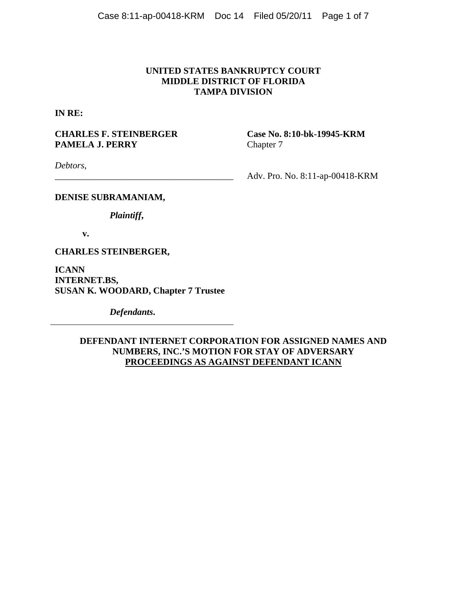## **UNITED STATES BANKRUPTCY COURT MIDDLE DISTRICT OF FLORIDA TAMPA DIVISION**

**IN RE:** 

# CHARLES F. STEINBERGER Case No. 8:10-bk-19945-KRM **PAMELA J. PERRY** Chapter 7

*Debtors*,

\_\_\_\_\_\_\_\_\_\_\_\_\_\_\_\_\_\_\_\_\_\_\_\_\_\_\_\_\_\_\_\_\_\_\_\_\_\_\_ Adv. Pro. No. 8:11-ap-00418-KRM

## **DENISE SUBRAMANIAM,**

*Plaintiff***,** 

**v.** 

**CHARLES STEINBERGER,** 

**ICANN INTERNET.BS, SUSAN K. WOODARD, Chapter 7 Trustee**

*Defendants***.**

## **DEFENDANT INTERNET CORPORATION FOR ASSIGNED NAMES AND NUMBERS, INC.'S MOTION FOR STAY OF ADVERSARY PROCEEDINGS AS AGAINST DEFENDANT ICANN**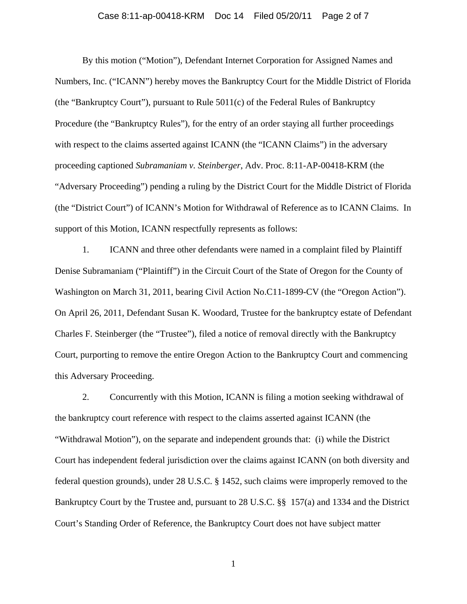#### Case 8:11-ap-00418-KRM Doc 14 Filed 05/20/11 Page 2 of 7

 By this motion ("Motion"), Defendant Internet Corporation for Assigned Names and Numbers, Inc. ("ICANN") hereby moves the Bankruptcy Court for the Middle District of Florida (the "Bankruptcy Court"), pursuant to Rule 5011(c) of the Federal Rules of Bankruptcy Procedure (the "Bankruptcy Rules"), for the entry of an order staying all further proceedings with respect to the claims asserted against ICANN (the "ICANN Claims") in the adversary proceeding captioned *Subramaniam v. Steinberger*, Adv. Proc. 8:11-AP-00418-KRM (the "Adversary Proceeding") pending a ruling by the District Court for the Middle District of Florida (the "District Court") of ICANN's Motion for Withdrawal of Reference as to ICANN Claims. In support of this Motion, ICANN respectfully represents as follows:

1. ICANN and three other defendants were named in a complaint filed by Plaintiff Denise Subramaniam ("Plaintiff") in the Circuit Court of the State of Oregon for the County of Washington on March 31, 2011, bearing Civil Action No.C11-1899-CV (the "Oregon Action"). On April 26, 2011, Defendant Susan K. Woodard, Trustee for the bankruptcy estate of Defendant Charles F. Steinberger (the "Trustee"), filed a notice of removal directly with the Bankruptcy Court, purporting to remove the entire Oregon Action to the Bankruptcy Court and commencing this Adversary Proceeding.

2. Concurrently with this Motion, ICANN is filing a motion seeking withdrawal of the bankruptcy court reference with respect to the claims asserted against ICANN (the "Withdrawal Motion"), on the separate and independent grounds that: (i) while the District Court has independent federal jurisdiction over the claims against ICANN (on both diversity and federal question grounds), under 28 U.S.C. § 1452, such claims were improperly removed to the Bankruptcy Court by the Trustee and, pursuant to 28 U.S.C. §§ 157(a) and 1334 and the District Court's Standing Order of Reference, the Bankruptcy Court does not have subject matter

1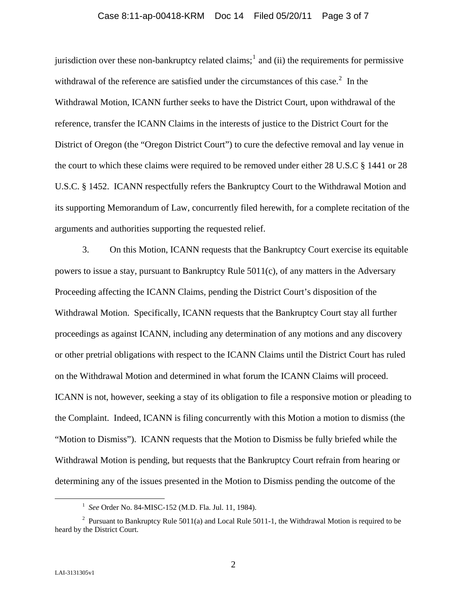#### Case 8:11-ap-00418-KRM Doc 14 Filed 05/20/11 Page 3 of 7

jurisdiction over these non-bankruptcy related claims;<sup>1</sup> and (ii) the requirements for permissive withdrawal of the reference are satisfied under the circumstances of this case.<sup>2</sup> In the Withdrawal Motion, ICANN further seeks to have the District Court, upon withdrawal of the reference, transfer the ICANN Claims in the interests of justice to the District Court for the District of Oregon (the "Oregon District Court") to cure the defective removal and lay venue in the court to which these claims were required to be removed under either 28 U.S.C § 1441 or 28 U.S.C. § 1452. ICANN respectfully refers the Bankruptcy Court to the Withdrawal Motion and its supporting Memorandum of Law, concurrently filed herewith, for a complete recitation of the arguments and authorities supporting the requested relief.

3. On this Motion, ICANN requests that the Bankruptcy Court exercise its equitable powers to issue a stay, pursuant to Bankruptcy Rule 5011(c), of any matters in the Adversary Proceeding affecting the ICANN Claims, pending the District Court's disposition of the Withdrawal Motion. Specifically, ICANN requests that the Bankruptcy Court stay all further proceedings as against ICANN, including any determination of any motions and any discovery or other pretrial obligations with respect to the ICANN Claims until the District Court has ruled on the Withdrawal Motion and determined in what forum the ICANN Claims will proceed. ICANN is not, however, seeking a stay of its obligation to file a responsive motion or pleading to the Complaint. Indeed, ICANN is filing concurrently with this Motion a motion to dismiss (the "Motion to Dismiss"). ICANN requests that the Motion to Dismiss be fully briefed while the Withdrawal Motion is pending, but requests that the Bankruptcy Court refrain from hearing or determining any of the issues presented in the Motion to Dismiss pending the outcome of the

<sup>&</sup>lt;u>1</u> *See* Order No. 84-MISC-152 (M.D. Fla. Jul. 11, 1984).

<sup>&</sup>lt;sup>2</sup> Pursuant to Bankruptcy Rule 5011(a) and Local Rule 5011-1, the Withdrawal Motion is required to be heard by the District Court.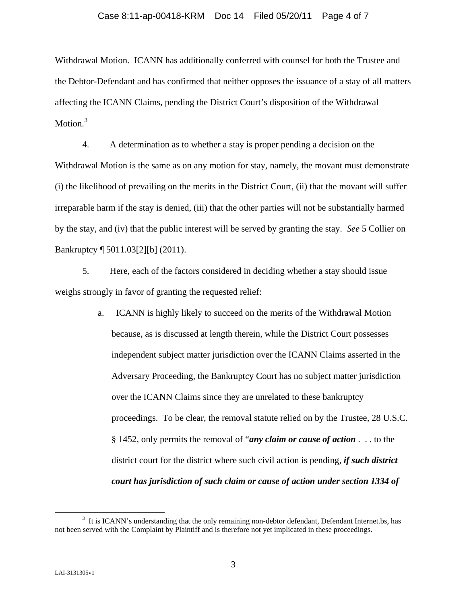Withdrawal Motion. ICANN has additionally conferred with counsel for both the Trustee and the Debtor-Defendant and has confirmed that neither opposes the issuance of a stay of all matters affecting the ICANN Claims, pending the District Court's disposition of the Withdrawal Motion.<sup>3</sup>

4. A determination as to whether a stay is proper pending a decision on the Withdrawal Motion is the same as on any motion for stay, namely, the movant must demonstrate (i) the likelihood of prevailing on the merits in the District Court, (ii) that the movant will suffer irreparable harm if the stay is denied, (iii) that the other parties will not be substantially harmed by the stay, and (iv) that the public interest will be served by granting the stay. *See* 5 Collier on Bankruptcy ¶ 5011.03[2][b] (2011).

5. Here, each of the factors considered in deciding whether a stay should issue weighs strongly in favor of granting the requested relief:

> a. ICANN is highly likely to succeed on the merits of the Withdrawal Motion because, as is discussed at length therein, while the District Court possesses independent subject matter jurisdiction over the ICANN Claims asserted in the Adversary Proceeding, the Bankruptcy Court has no subject matter jurisdiction over the ICANN Claims since they are unrelated to these bankruptcy proceedings. To be clear, the removal statute relied on by the Trustee, 28 U.S.C. § 1452, only permits the removal of "*any claim or cause of action* . . . to the district court for the district where such civil action is pending, *if such district court has jurisdiction of such claim or cause of action under section 1334 of*

 <sup>3</sup> <sup>3</sup> It is ICANN's understanding that the only remaining non-debtor defendant, Defendant Internet.bs, has not been served with the Complaint by Plaintiff and is therefore not yet implicated in these proceedings.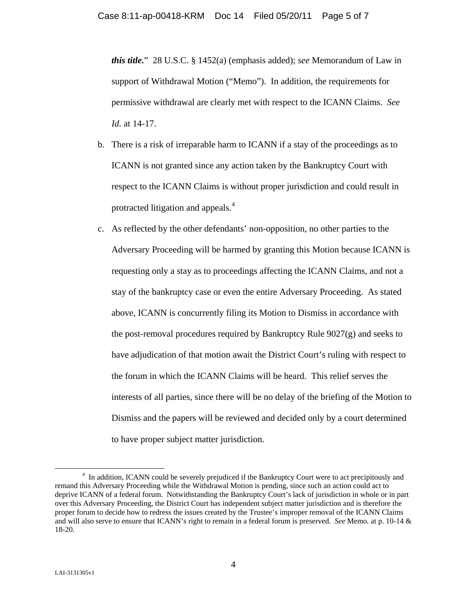*this title.*" 28 U.S.C. § 1452(a) (emphasis added); *see* Memorandum of Law in support of Withdrawal Motion ("Memo"). In addition, the requirements for permissive withdrawal are clearly met with respect to the ICANN Claims. *See Id.* at 14-17.

- b. There is a risk of irreparable harm to ICANN if a stay of the proceedings as to ICANN is not granted since any action taken by the Bankruptcy Court with respect to the ICANN Claims is without proper jurisdiction and could result in protracted litigation and appeals.<sup>[4](#page-4-0)</sup>
- c. As reflected by the other defendants' non-opposition, no other parties to the Adversary Proceeding will be harmed by granting this Motion because ICANN is requesting only a stay as to proceedings affecting the ICANN Claims, and not a stay of the bankruptcy case or even the entire Adversary Proceeding. As stated above, ICANN is concurrently filing its Motion to Dismiss in accordance with the post-removal procedures required by Bankruptcy Rule 9027(g) and seeks to have adjudication of that motion await the District Court's ruling with respect to the forum in which the ICANN Claims will be heard. This relief serves the interests of all parties, since there will be no delay of the briefing of the Motion to Dismiss and the papers will be reviewed and decided only by a court determined to have proper subject matter jurisdiction.

<span id="page-4-0"></span> $\frac{1}{4}$ <sup>4</sup> In addition, ICANN could be severely prejudiced if the Bankruptcy Court were to act precipitously and remand this Adversary Proceeding while the Withdrawal Motion is pending, since such an action could act to deprive ICANN of a federal forum. Notwithstanding the Bankruptcy Court's lack of jurisdiction in whole or in part over this Adversary Proceeding, the District Court has independent subject matter jurisdiction and is therefore the proper forum to decide how to redress the issues created by the Trustee's improper removal of the ICANN Claims and will also serve to ensure that ICANN's right to remain in a federal forum is preserved. *See* Memo*.* at p. 10-14 & 18-20.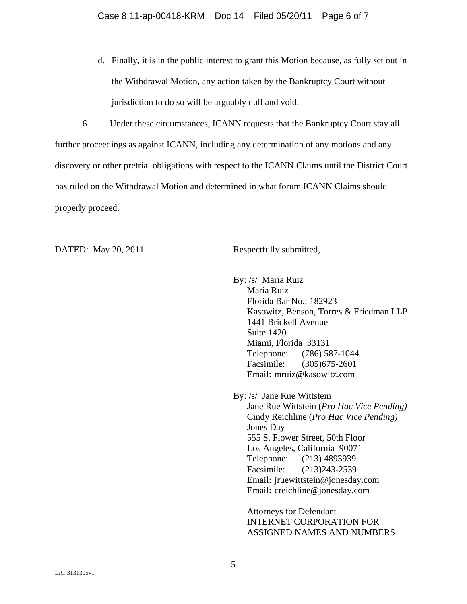d. Finally, it is in the public interest to grant this Motion because, as fully set out in the Withdrawal Motion, any action taken by the Bankruptcy Court without jurisdiction to do so will be arguably null and void.

6. Under these circumstances, ICANN requests that the Bankruptcy Court stay all further proceedings as against ICANN, including any determination of any motions and any discovery or other pretrial obligations with respect to the ICANN Claims until the District Court has ruled on the Withdrawal Motion and determined in what forum ICANN Claims should properly proceed.

DATED: May 20, 2011 Respectfully submitted,

By: /s/ Maria Ruiz

Maria Ruiz Florida Bar No.: 182923 Kasowitz, Benson, Torres & Friedman LLP 1441 Brickell Avenue Suite 1420 Miami, Florida 33131 Telephone: (786) 587-1044 Facsimile: (305)675-2601 Email: mruiz@kasowitz.com

By: /s/ Jane Rue Wittstein

Jane Rue Wittstein (*Pro Hac Vice Pending)* Cindy Reichline (*Pro Hac Vice Pending)* Jones Day 555 S. Flower Street, 50th Floor Los Angeles, California 90071 Telephone: (213) 4893939 Facsimile: (213)243-2539 Email: jruewittstein@jonesday.com Email: creichline@jonesday.com

Attorneys for Defendant INTERNET CORPORATION FOR ASSIGNED NAMES AND NUMBERS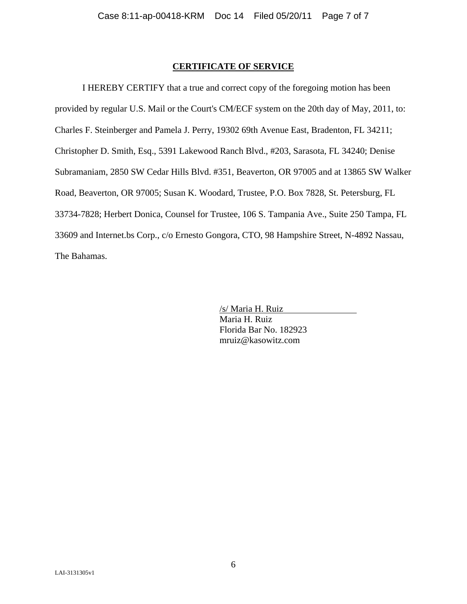### **CERTIFICATE OF SERVICE**

I HEREBY CERTIFY that a true and correct copy of the foregoing motion has been provided by regular U.S. Mail or the Court's CM/ECF system on the 20th day of May, 2011, to: Charles F. Steinberger and Pamela J. Perry, 19302 69th Avenue East, Bradenton, FL 34211; Christopher D. Smith, Esq., 5391 Lakewood Ranch Blvd., #203, Sarasota, FL 34240; Denise Subramaniam, 2850 SW Cedar Hills Blvd. #351, Beaverton, OR 97005 and at 13865 SW Walker Road, Beaverton, OR 97005; Susan K. Woodard, Trustee, P.O. Box 7828, St. Petersburg, FL 33734-7828; Herbert Donica, Counsel for Trustee, 106 S. Tampania Ave., Suite 250 Tampa, FL 33609 and Internet.bs Corp., c/o Ernesto Gongora, CTO, 98 Hampshire Street, N-4892 Nassau, The Bahamas.

> /s/ Maria H. Ruiz Maria H. Ruiz Florida Bar No. 182923 mruiz@kasowitz.com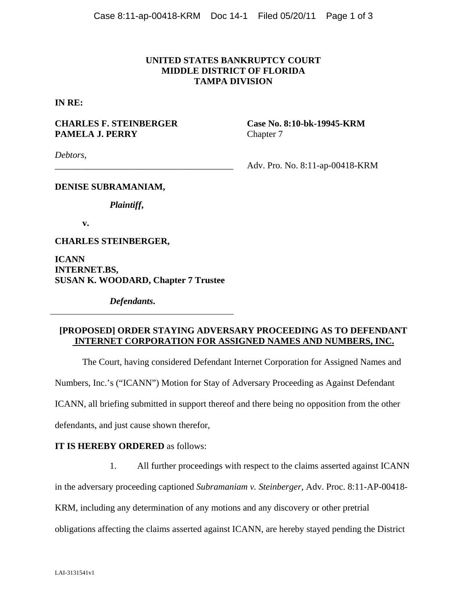## **UNITED STATES BANKRUPTCY COURT MIDDLE DISTRICT OF FLORIDA TAMPA DIVISION**

**IN RE:** 

# **CHARLES F. STEINBERGER Case No. 8:10-bk-19945-KRM PAMELA J. PERRY** Chapter 7

*Debtors*,

\_\_\_\_\_\_\_\_\_\_\_\_\_\_\_\_\_\_\_\_\_\_\_\_\_\_\_\_\_\_\_\_\_\_\_\_\_\_\_ Adv. Pro. No. 8:11-ap-00418-KRM

## **DENISE SUBRAMANIAM,**

*Plaintiff***,** 

**v.** 

**CHARLES STEINBERGER,** 

**ICANN INTERNET.BS, SUSAN K. WOODARD, Chapter 7 Trustee**

*Defendants***.**

## **[PROPOSED] ORDER STAYING ADVERSARY PROCEEDING AS TO DEFENDANT INTERNET CORPORATION FOR ASSIGNED NAMES AND NUMBERS, INC.**

The Court, having considered Defendant Internet Corporation for Assigned Names and Numbers, Inc.'s ("ICANN") Motion for Stay of Adversary Proceeding as Against Defendant ICANN, all briefing submitted in support thereof and there being no opposition from the other defendants, and just cause shown therefor,

#### **IT IS HEREBY ORDERED** as follows:

1. All further proceedings with respect to the claims asserted against ICANN

in the adversary proceeding captioned *Subramaniam v. Steinberger*, Adv. Proc. 8:11-AP-00418-

KRM, including any determination of any motions and any discovery or other pretrial

obligations affecting the claims asserted against ICANN, are hereby stayed pending the District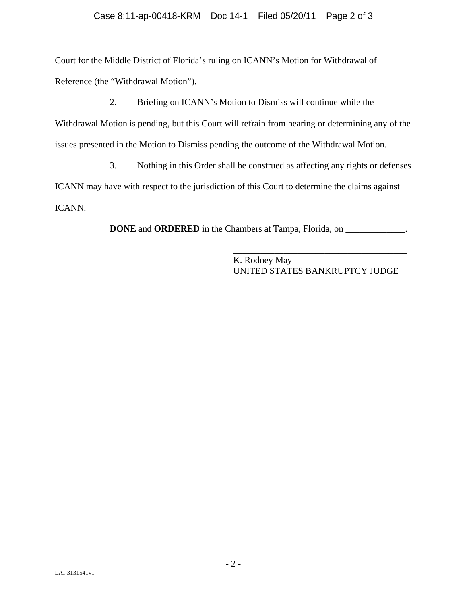Court for the Middle District of Florida's ruling on ICANN's Motion for Withdrawal of Reference (the "Withdrawal Motion").

2. Briefing on ICANN's Motion to Dismiss will continue while the Withdrawal Motion is pending, but this Court will refrain from hearing or determining any of the issues presented in the Motion to Dismiss pending the outcome of the Withdrawal Motion.

3. Nothing in this Order shall be construed as affecting any rights or defenses ICANN may have with respect to the jurisdiction of this Court to determine the claims against ICANN.

**DONE** and **ORDERED** in the Chambers at Tampa, Florida, on \_\_\_\_\_\_\_\_\_\_\_\_\_.

K. Rodney May UNITED STATES BANKRUPTCY JUDGE

\_\_\_\_\_\_\_\_\_\_\_\_\_\_\_\_\_\_\_\_\_\_\_\_\_\_\_\_\_\_\_\_\_\_\_\_\_\_